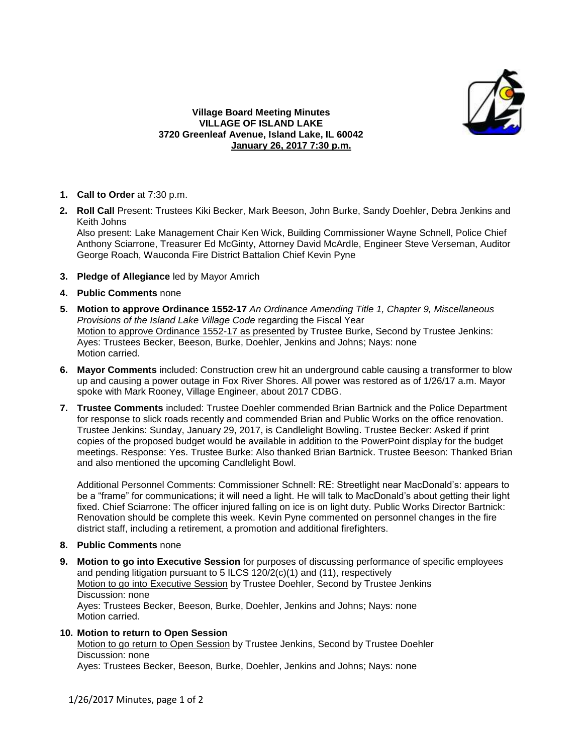

## **Village Board Meeting Minutes VILLAGE OF ISLAND LAKE 3720 Greenleaf Avenue, Island Lake, IL 60042 January 26, 2017 7:30 p.m.**

- **1. Call to Order** at 7:30 p.m.
- **2. Roll Call** Present: Trustees Kiki Becker, Mark Beeson, John Burke, Sandy Doehler, Debra Jenkins and Keith Johns

Also present: Lake Management Chair Ken Wick, Building Commissioner Wayne Schnell, Police Chief Anthony Sciarrone, Treasurer Ed McGinty, Attorney David McArdle, Engineer Steve Verseman, Auditor George Roach, Wauconda Fire District Battalion Chief Kevin Pyne

- **3. Pledge of Allegiance** led by Mayor Amrich
- **4. Public Comments** none
- **5. Motion to approve Ordinance 1552-17** *An Ordinance Amending Title 1, Chapter 9, Miscellaneous Provisions of the Island Lake Village Code* regarding the Fiscal Year Motion to approve Ordinance 1552-17 as presented by Trustee Burke, Second by Trustee Jenkins: Ayes: Trustees Becker, Beeson, Burke, Doehler, Jenkins and Johns; Nays: none Motion carried.
- **6. Mayor Comments** included: Construction crew hit an underground cable causing a transformer to blow up and causing a power outage in Fox River Shores. All power was restored as of 1/26/17 a.m. Mayor spoke with Mark Rooney, Village Engineer, about 2017 CDBG.
- **7. Trustee Comments** included: Trustee Doehler commended Brian Bartnick and the Police Department for response to slick roads recently and commended Brian and Public Works on the office renovation. Trustee Jenkins: Sunday, January 29, 2017, is Candlelight Bowling. Trustee Becker: Asked if print copies of the proposed budget would be available in addition to the PowerPoint display for the budget meetings. Response: Yes. Trustee Burke: Also thanked Brian Bartnick. Trustee Beeson: Thanked Brian and also mentioned the upcoming Candlelight Bowl.

Additional Personnel Comments: Commissioner Schnell: RE: Streetlight near MacDonald's: appears to be a "frame" for communications; it will need a light. He will talk to MacDonald's about getting their light fixed. Chief Sciarrone: The officer injured falling on ice is on light duty. Public Works Director Bartnick: Renovation should be complete this week. Kevin Pyne commented on personnel changes in the fire district staff, including a retirement, a promotion and additional firefighters.

- **8. Public Comments** none
- **9. Motion to go into Executive Session** for purposes of discussing performance of specific employees and pending litigation pursuant to 5 ILCS 120/2(c)(1) and (11), respectively Motion to go into Executive Session by Trustee Doehler, Second by Trustee Jenkins Discussion: none Ayes: Trustees Becker, Beeson, Burke, Doehler, Jenkins and Johns; Nays: none Motion carried.

## **10. Motion to return to Open Session**

Motion to go return to Open Session by Trustee Jenkins, Second by Trustee Doehler Discussion: none

Ayes: Trustees Becker, Beeson, Burke, Doehler, Jenkins and Johns; Nays: none